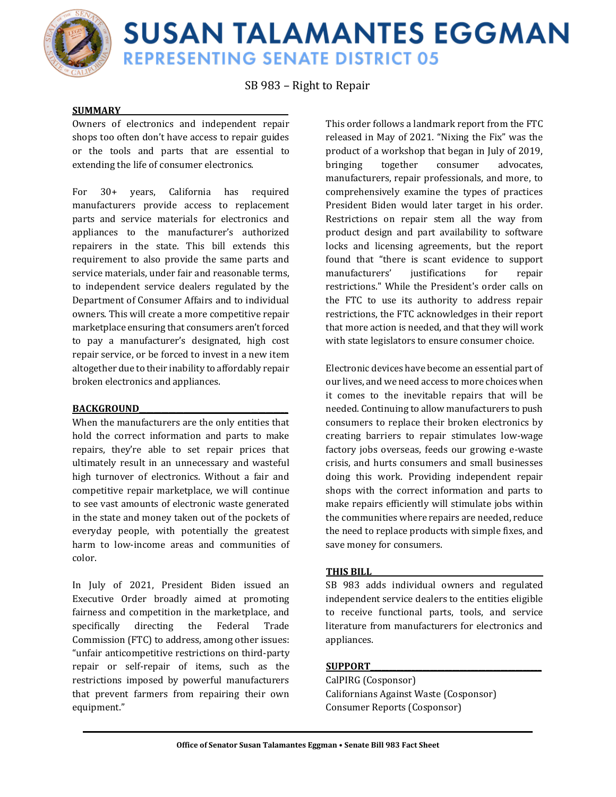

# **SUSAN TALAMANTES EGGMAN REPRESENTING SENATE DISTRICT 05**

SB 983 – Right to Repair

#### **SUMMARY\_\_\_\_\_\_\_\_\_\_\_\_\_\_\_\_\_\_\_\_\_\_\_\_\_\_\_\_\_\_\_\_\_\_\_\_\_\_\_\_\_\_\_\_\_**

Owners of electronics and independent repair shops too often don't have access to repair guides or the tools and parts that are essential to extending the life of consumer electronics.

For 30+ years, California has required manufacturers provide access to replacement parts and service materials for electronics and appliances to the manufacturer's authorized repairers in the state. This bill extends this requirement to also provide the same parts and service materials, under fair and reasonable terms, to independent service dealers regulated by the Department of Consumer Affairs and to individual owners. This will create a more competitive repair marketplace ensuring that consumers aren't forced to pay a manufacturer's designated, high cost repair service, or be forced to invest in a new item altogether due to their inability to affordably repair broken electronics and appliances.

### **BACKGROUND\_\_\_\_\_\_\_\_\_\_\_\_\_\_\_\_\_\_\_\_\_\_\_\_\_\_\_\_\_\_\_\_\_\_\_\_\_\_\_\_**

When the manufacturers are the only entities that hold the correct information and parts to make repairs, they're able to set repair prices that ultimately result in an unnecessary and wasteful high turnover of electronics. Without a fair and competitive repair marketplace, we will continue to see vast amounts of electronic waste generated in the state and money taken out of the pockets of everyday people, with potentially the greatest harm to low-income areas and communities of color.

In July of 2021, President Biden issued an Executive Order broadly aimed at promoting fairness and competition in the marketplace, and specifically directing the Federal Trade Commission (FTC) to address, among other issues: "unfair anticompetitive restrictions on third-party repair or self-repair of items, such as the restrictions imposed by powerful manufacturers that prevent farmers from repairing their own equipment."

This order follows a landmark report from the FTC released in May of 2021. "Nixing the Fix" was the product of a workshop that began in July of 2019, bringing together consumer advocates, manufacturers, repair professionals, and more, to comprehensively examine the types of practices President Biden would later target in his order. Restrictions on repair stem all the way from product design and part availability to software locks and licensing agreements, but the report found that "there is scant evidence to support manufacturers' iustifications for repair restrictions." While the President's order calls on the FTC to use its authority to address repair restrictions, the FTC acknowledges in their report that more action is needed, and that they will work with state legislators to ensure consumer choice.

Electronic devices have become an essential part of our lives, and we need access to more choices when it comes to the inevitable repairs that will be needed. Continuing to allow manufacturers to push consumers to replace their broken electronics by creating barriers to repair stimulates low-wage factory jobs overseas, feeds our growing e-waste crisis, and hurts consumers and small businesses doing this work. Providing independent repair shops with the correct information and parts to make repairs efficiently will stimulate jobs within the communities where repairs are needed, reduce the need to replace products with simple fixes, and save money for consumers.

#### **THIS BILL\_\_\_\_\_\_\_\_\_\_\_\_\_\_\_\_\_\_\_\_\_\_\_\_\_\_\_\_\_\_\_\_\_\_\_\_\_\_\_\_\_\_\_\_\_\_**

SB 983 adds individual owners and regulated independent service dealers to the entities eligible to receive functional parts, tools, and service literature from manufacturers for electronics and appliances.

### **SUPPORT\_\_\_\_\_\_\_\_\_\_\_\_\_\_\_\_\_\_\_\_\_\_\_\_\_\_\_\_\_\_\_\_\_\_\_\_\_\_\_\_\_\_\_\_\_\_**

CalPIRG (Cosponsor) Californians Against Waste (Cosponsor) Consumer Reports (Cosponsor)